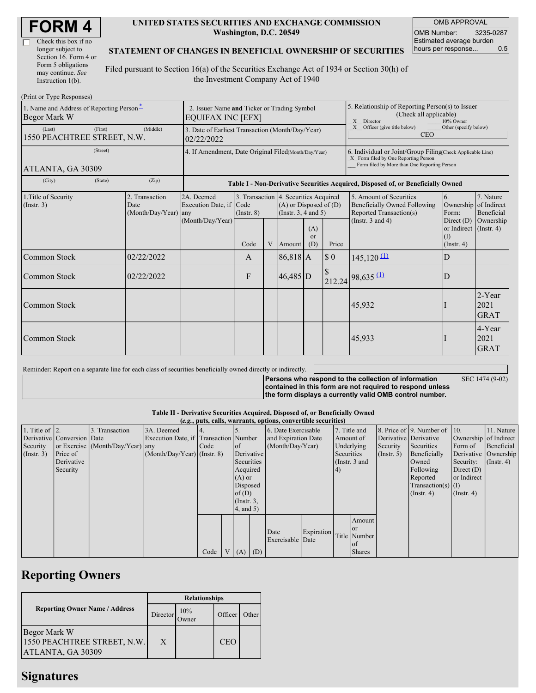| Check this box if no  |
|-----------------------|
| longer subject to     |
| Section 16. Form 4 or |
| Form 5 obligations    |
| may continue. See     |
| Instruction $1(b)$ .  |

### **UNITED STATES SECURITIES AND EXCHANGE COMMISSION Washington, D.C. 20549**

OMB APPROVAL OMB Number: 3235-0287 Estimated average burden hours per response... 0.5

## **STATEMENT OF CHANGES IN BENEFICIAL OWNERSHIP OF SECURITIES**

Filed pursuant to Section 16(a) of the Securities Exchange Act of 1934 or Section 30(h) of the Investment Company Act of 1940

| (Print or Type Responses)                                            |                                                                         |                                                           |                                                                                  |   |                                                                                                 |                             |                                                                                                                                                    |                                                                                                             |                                                      |                                      |  |
|----------------------------------------------------------------------|-------------------------------------------------------------------------|-----------------------------------------------------------|----------------------------------------------------------------------------------|---|-------------------------------------------------------------------------------------------------|-----------------------------|----------------------------------------------------------------------------------------------------------------------------------------------------|-------------------------------------------------------------------------------------------------------------|------------------------------------------------------|--------------------------------------|--|
| 1. Name and Address of Reporting Person <sup>*</sup><br>Begor Mark W | 2. Issuer Name and Ticker or Trading Symbol<br><b>EQUIFAX INC [EFX]</b> |                                                           |                                                                                  |   |                                                                                                 |                             | 5. Relationship of Reporting Person(s) to Issuer<br>(Check all applicable)<br>X Director<br>10% Owner                                              |                                                                                                             |                                                      |                                      |  |
| (First)<br>(Last)<br>1550 PEACHTREE STREET, N.W.                     | 3. Date of Earliest Transaction (Month/Day/Year)<br>02/22/2022          |                                                           |                                                                                  |   |                                                                                                 |                             | Other (specify below)<br>Officer (give title below)<br>X<br><b>CEO</b>                                                                             |                                                                                                             |                                                      |                                      |  |
| (Street)<br>ATLANTA, GA 30309                                        | 4. If Amendment, Date Original Filed(Month/Day/Year)                    |                                                           |                                                                                  |   |                                                                                                 |                             | 6. Individual or Joint/Group Filing(Check Applicable Line)<br>X Form filed by One Reporting Person<br>Form filed by More than One Reporting Person |                                                                                                             |                                                      |                                      |  |
| (City)<br>(State)                                                    | (Zip)                                                                   |                                                           | Table I - Non-Derivative Securities Acquired, Disposed of, or Beneficially Owned |   |                                                                                                 |                             |                                                                                                                                                    |                                                                                                             |                                                      |                                      |  |
| 1. Title of Security<br>$($ Instr. 3 $)$                             | 2. Transaction<br>Date<br>(Month/Day/Year) any                          | 2A. Deemed<br>Execution Date, if Code<br>(Month/Day/Year) | $($ Instr. $8)$                                                                  |   | 3. Transaction 4. Securities Acquired<br>$(A)$ or Disposed of $(D)$<br>(Instr. $3, 4$ and $5$ ) |                             |                                                                                                                                                    | 5. Amount of Securities<br>Beneficially Owned Following<br>Reported Transaction(s)<br>(Instr. $3$ and $4$ ) | 6.<br>Ownership of Indirect<br>Form:<br>Direct $(D)$ | 7. Nature<br>Beneficial<br>Ownership |  |
|                                                                      |                                                                         |                                                           | Code                                                                             | V | Amount                                                                                          | (A)<br><sub>or</sub><br>(D) | Price                                                                                                                                              |                                                                                                             | or Indirect (Instr. 4)<br>(I)<br>$($ Instr. 4 $)$    |                                      |  |
| Common Stock                                                         | 02/22/2022                                                              |                                                           | A                                                                                |   | $86,818$ A                                                                                      |                             | \$0                                                                                                                                                | $145,120 \frac{(\text{1})}{\text{2}}$                                                                       | D                                                    |                                      |  |
| Common Stock                                                         | 02/22/2022                                                              |                                                           | F                                                                                |   | $46,485$ D                                                                                      |                             | \$<br>212.24                                                                                                                                       | $98,635 \text{ (1)}$                                                                                        | D                                                    |                                      |  |
| Common Stock                                                         |                                                                         |                                                           |                                                                                  |   |                                                                                                 |                             |                                                                                                                                                    | 45,932                                                                                                      |                                                      | $2$ -Year<br>2021<br><b>GRAT</b>     |  |
| Common Stock                                                         |                                                                         |                                                           |                                                                                  |   |                                                                                                 |                             |                                                                                                                                                    | 45,933                                                                                                      |                                                      | 4-Year<br>2021<br><b>GRAT</b>        |  |

Reminder: Report on a separate line for each class of securities beneficially owned directly or indirectly.

**Persons who respond to the collection of information contained in this form are not required to respond unless the form displays a currently valid OMB control number.**

SEC 1474 (9-02)

## **Table II - Derivative Securities Acquired, Disposed of, or Beneficially Owned**

|                        | (e.g., puts, calls, warrants, options, convertible securities) |                                  |                                       |      |                |                |                     |                     |                                |           |               |                       |                          |                       |            |
|------------------------|----------------------------------------------------------------|----------------------------------|---------------------------------------|------|----------------|----------------|---------------------|---------------------|--------------------------------|-----------|---------------|-----------------------|--------------------------|-----------------------|------------|
| 1. Title of $\vert$ 2. |                                                                | 3. Transaction                   | 3A. Deemed                            |      |                |                |                     | 6. Date Exercisable |                                |           | 7. Title and  |                       | 8. Price of 9. Number of | $\vert$ 10.           | 11. Nature |
|                        | Derivative Conversion Date                                     |                                  | Execution Date, if Transaction Number |      |                |                | and Expiration Date |                     |                                | Amount of |               | Derivative Derivative |                          | Ownership of Indirect |            |
| Security               |                                                                | or Exercise (Month/Day/Year) any |                                       | Code |                | of             | (Month/Day/Year)    |                     | Underlying<br>Security         |           |               | Securities            | Form of                  | Beneficial            |            |
| (Insert. 3)            | Price of                                                       |                                  | $(Month/Day/Year)$ (Instr. 8)         |      |                |                | Derivative          |                     | Securities<br>$($ Instr. 5 $)$ |           | Beneficially  | Derivative Ownership  |                          |                       |            |
|                        | Derivative                                                     |                                  |                                       |      |                | Securities     |                     | (Instr. 3 and       |                                | Owned     | Security:     | $($ Instr. 4 $)$      |                          |                       |            |
|                        | Security                                                       |                                  |                                       |      |                | Acquired       |                     |                     |                                |           |               |                       | Following                | Direct $(D)$          |            |
|                        |                                                                |                                  |                                       |      |                | $(A)$ or       |                     |                     |                                |           |               |                       | Reported                 | or Indirect           |            |
|                        |                                                                |                                  |                                       |      | Disposed       |                |                     |                     |                                |           |               |                       | Transaction(s) $(I)$     |                       |            |
|                        |                                                                |                                  |                                       |      |                | of $(D)$       |                     |                     |                                |           |               |                       | $($ Instr. 4)            | $($ Instr. 4 $)$      |            |
|                        |                                                                |                                  |                                       |      |                | $($ Instr. 3,  |                     |                     |                                |           |               |                       |                          |                       |            |
|                        |                                                                |                                  |                                       |      |                | $4$ , and $5)$ |                     |                     |                                |           |               |                       |                          |                       |            |
|                        |                                                                |                                  |                                       |      |                |                |                     |                     |                                |           | Amount        |                       |                          |                       |            |
|                        |                                                                |                                  |                                       |      |                |                |                     |                     |                                |           | <b>or</b>     |                       |                          |                       |            |
|                        |                                                                |                                  |                                       |      |                |                |                     | Date                | Expiration                     |           | Title Number  |                       |                          |                       |            |
|                        |                                                                |                                  |                                       |      |                |                |                     | Exercisable Date    |                                |           | l ot          |                       |                          |                       |            |
|                        |                                                                |                                  |                                       | Code | V <sub>1</sub> | (A)            | (D)                 |                     |                                |           | <b>Shares</b> |                       |                          |                       |            |

## **Reporting Owners**

|                                                                  | <b>Relationships</b> |               |            |       |  |  |  |
|------------------------------------------------------------------|----------------------|---------------|------------|-------|--|--|--|
| <b>Reporting Owner Name / Address</b>                            | Director             | 10%<br>.)wner | Officer    | Other |  |  |  |
| Begor Mark W<br>1550 PEACHTREE STREET, N.W.<br>ATLANTA, GA 30309 | X                    |               | <b>CEO</b> |       |  |  |  |

# **Signatures**